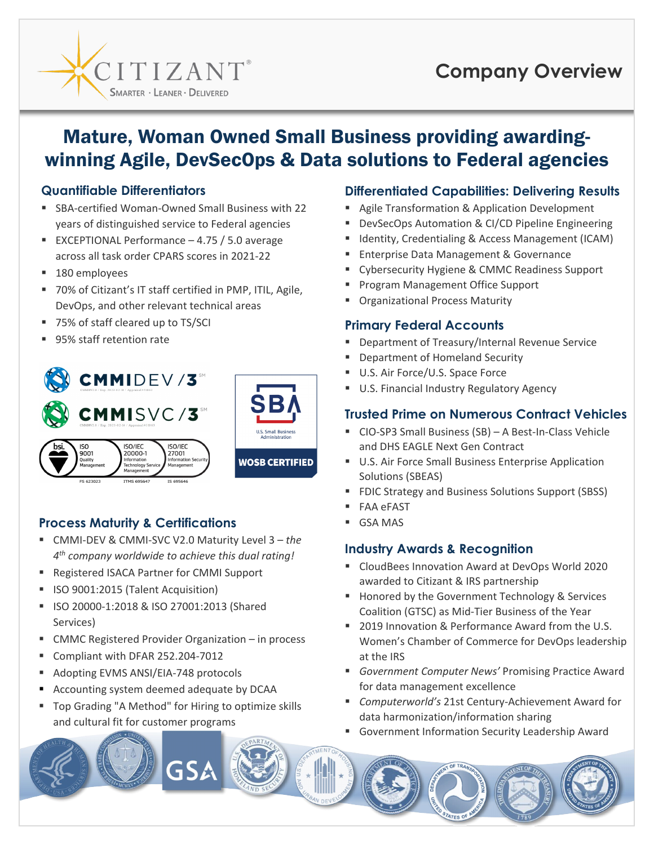

# **Company Overview**

## Mature, Woman Owned Small Business providing awardingwinning Agile, DevSecOps & Data solutions to Federal agencies

#### **Quantifiable Differentiators**

- SBA-certified Woman-Owned Small Business with 22 years of distinguished service to Federal agencies
- EXCEPTIONAL Performance  $-4.75/5.0$  average across all task order CPARS scores in 2021-22
- 180 employees
- 70% of Citizant's IT staff certified in PMP, ITIL, Agile, DevOps, and other relevant technical areas
- 75% of staff cleared up to TS/SCI
- 95% staff retention rate



## **Process Maturity & Certifications The CSA MAS**

- CMMI-DEV & CMMI-SVC V2.0 Maturity Level 3 *the 4th company worldwide to achieve this dual rating!*
- Registered ISACA Partner for CMMI Support
- **IF ISO 9001:2015 (Talent Acquisition)**
- ISO 20000-1:2018 & ISO 27001:2013 (Shared Services)
- CMMC Registered Provider Organization in process
- Compliant with DFAR 252.204-7012
- **Adopting EVMS ANSI/EIA-748 protocols**
- Accounting system deemed adequate by DCAA
- **Top Grading "A Method" for Hiring to optimize skills** and cultural fit for customer programs

GSA

#### **Differentiated Capabilities: Delivering Results**

- **Agile Transformation & Application Development**
- DevSecOps Automation & CI/CD Pipeline Engineering
- Identity, Credentialing & Access Management (ICAM)
- Enterprise Data Management & Governance
- Cybersecurity Hygiene & CMMC Readiness Support
- Program Management Office Support
- Organizational Process Maturity

## **Primary Federal Accounts**

- Department of Treasury/Internal Revenue Service
- Department of Homeland Security
- U.S. Air Force/U.S. Space Force
- U.S. Financial Industry Regulatory Agency

## **Trusted Prime on Numerous Contract Vehicles**

- CIO-SP3 Small Business (SB) A Best-In-Class Vehicle and DHS EAGLE Next Gen Contract
- **U.S. Air Force Small Business Enterprise Application** Solutions (SBEAS)
- **FIDIC Strategy and Business Solutions Support (SBSS)**
- FAA eFAST
- 

### **Industry Awards & Recognition**

- CloudBees Innovation Award at DevOps World 2020 awarded to Citizant & IRS partnership
- **Honored by the Government Technology & Services** Coalition (GTSC) as Mid-Tier Business of the Year
- 2019 Innovation & Performance Award from the U.S. Women's Chamber of Commerce for DevOps leadership at the IRS
- *Government Computer News'* Promising Practice Award for data management excellence
- *Computerworld's* 21st Century-Achievement Award for data harmonization/information sharing
- Government Information Security Leadership Award